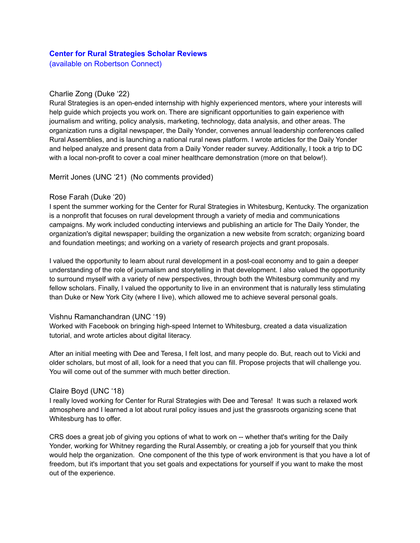# **Center for Rural Strategies Scholar Reviews**

(available on Robertson Connect)

## Charlie Zong (Duke '22)

Rural Strategies is an open-ended internship with highly experienced mentors, where your interests will help guide which projects you work on. There are significant opportunities to gain experience with journalism and writing, policy analysis, marketing, technology, data analysis, and other areas. The organization runs a digital newspaper, the Daily Yonder, convenes annual leadership conferences called Rural Assemblies, and is launching a national rural news platform. I wrote articles for the Daily Yonder and helped analyze and present data from a Daily Yonder reader survey. Additionally, I took a trip to DC with a local non-profit to cover a coal miner healthcare demonstration (more on that below!).

## Merrit Jones (UNC '21) (No comments provided)

## Rose Farah (Duke '20)

I spent the summer working for the Center for Rural Strategies in Whitesburg, Kentucky. The organization is a nonprofit that focuses on rural development through a variety of media and communications campaigns. My work included conducting interviews and publishing an article for The Daily Yonder, the organization's digital newspaper; building the organization a new website from scratch; organizing board and foundation meetings; and working on a variety of research projects and grant proposals.

I valued the opportunity to learn about rural development in a post-coal economy and to gain a deeper understanding of the role of journalism and storytelling in that development. I also valued the opportunity to surround myself with a variety of new perspectives, through both the Whitesburg community and my fellow scholars. Finally, I valued the opportunity to live in an environment that is naturally less stimulating than Duke or New York City (where I live), which allowed me to achieve several personal goals.

#### Vishnu Ramanchandran (UNC '19)

Worked with Facebook on bringing high-speed Internet to Whitesburg, created a data visualization tutorial, and wrote articles about digital literacy.

After an initial meeting with Dee and Teresa, I felt lost, and many people do. But, reach out to Vicki and older scholars, but most of all, look for a need that you can fill. Propose projects that will challenge you. You will come out of the summer with much better direction.

#### Claire Boyd (UNC '18)

I really loved working for Center for Rural Strategies with Dee and Teresa! It was such a relaxed work atmosphere and I learned a lot about rural policy issues and just the grassroots organizing scene that Whitesburg has to offer.

CRS does a great job of giving you options of what to work on -- whether that's writing for the Daily Yonder, working for Whitney regarding the Rural Assembly, or creating a job for yourself that you think would help the organization. One component of the this type of work environment is that you have a lot of freedom, but it's important that you set goals and expectations for yourself if you want to make the most out of the experience.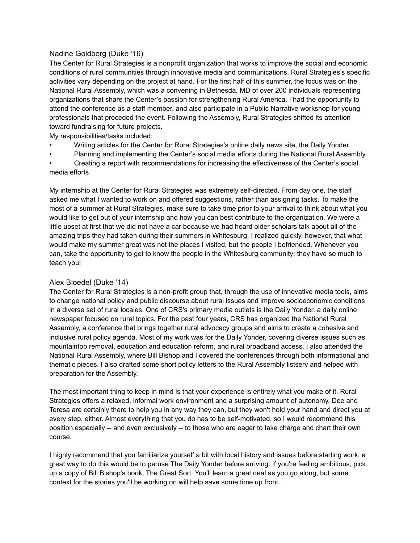# Nadine Goldberg (Duke '16)

The Center for Rural Strategies is a nonprofit organization that works to improve the social and economic conditions of rural communities through innovative media and communications. Rural Strategies's specific activities vary depending on the project at hand. For the first half of this summer, the focus was on the National Rural Assembly, which was a convening in Bethesda, MD of over 200 individuals representing organizations that share the Center's passion for strengthening Rural America. I had the opportunity to attend the conference as a staff member, and also participate in a Public Narrative workshop for young professionals that preceded the event. Following the Assembly, Rural Strategies shifted its attention toward fundraising for future projects.

My responsibilities/tasks included:

- Writing articles for the Center for Rural Strategies's online daily news site, the Daily Yonder
- Planning and implementing the Center's social media efforts during the National Rural Assembly

• Creating a report with recommendations for increasing the effectiveness of the Center's social media efforts

My internship at the Center for Rural Strategies was extremely self-directed. From day one, the staff asked me what I wanted to work on and offered suggestions, rather than assigning tasks. To make the most of a summer at Rural Strategies, make sure to take time prior to your arrival to think about what you would like to get out of your internship and how you can best contribute to the organization. We were a little upset at first that we did not have a car because we had heard older scholars talk about all of the amazing trips they had taken during their summers in Whitesburg. I realized quickly, however, that what would make my summer great was not the places I visited, but the people I befriended. Whenever you can, take the opportunity to get to know the people in the Whitesburg community; they have so much to teach you!

# Alex Bloedel (Duke '14)

The Center for Rural Strategies is a non-profit group that, through the use of innovative media tools, aims to change national policy and public discourse about rural issues and improve socioeconomic conditions in a diverse set of rural locales. One of CRS's primary media outlets is the Daily Yonder, a daily online newspaper focused on rural topics. For the past four years, CRS has organized the National Rural Assembly, a conference that brings together rural advocacy groups and aims to create a cohesive and inclusive rural policy agenda. Most of my work was for the Daily Yonder, covering diverse issues such as mountaintop removal, education and education reform, and rural broadband access. I also attended the National Rural Assembly, where Bill Bishop and I covered the conferences through both informational and thematic pieces. I also drafted some short policy letters to the Rural Assembly listserv and helped with preparation for the Assembly.

The most important thing to keep in mind is that your experience is entirely what you make of it. Rural Strategies offers a relaxed, informal work environment and a surprising amount of autonomy. Dee and Teresa are certainly there to help you in any way they can, but they won't hold your hand and direct you at every step, either. Almost everything that you do has to be self-motivated, so I would recommend this position especially -- and even exclusively -- to those who are eager to take charge and chart their own course.

I highly recommend that you familiarize yourself a bit with local history and issues before starting work; a great way to do this would be to peruse The Daily Yonder before arriving. If you're feeling ambitious, pick up a copy of Bill Bishop's book, The Great Sort. You'll learn a great deal as you go along, but some context for the stories you'll be working on will help save some time up front.